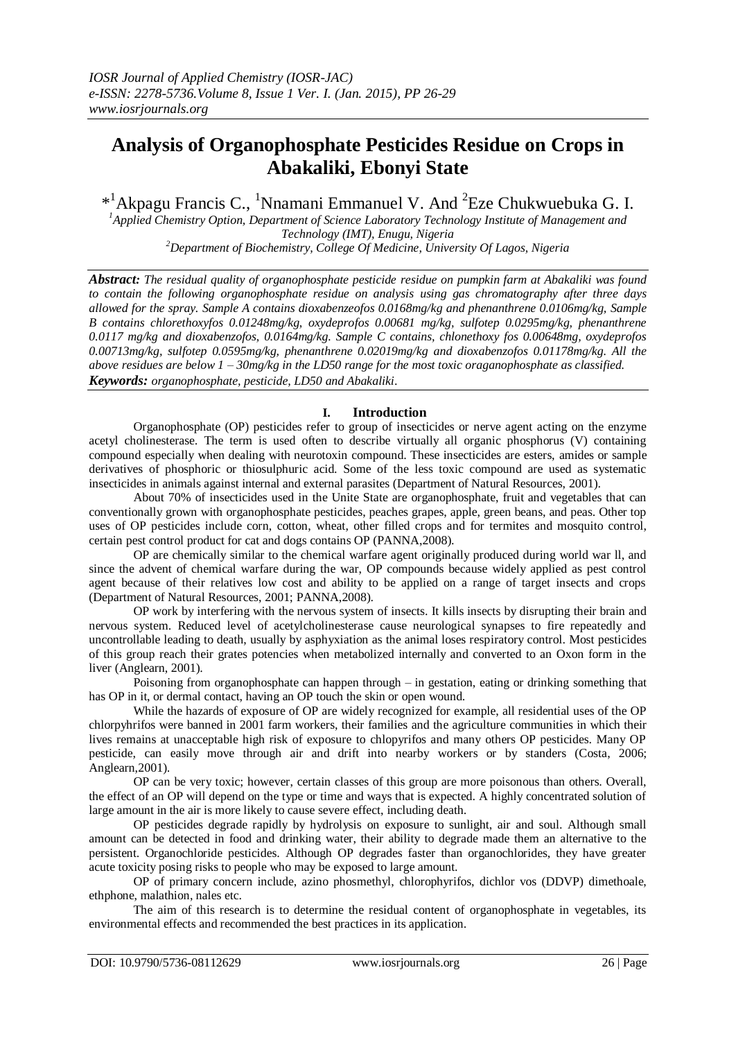# **Analysis of Organophosphate Pesticides Residue on Crops in Abakaliki, Ebonyi State**

\*<sup>1</sup> Akpagu Francis C., <sup>1</sup> Nnamani Emmanuel V. And <sup>2</sup> Eze Chukwuebuka G. I.

*<sup>1</sup>Applied Chemistry Option, Department of Science Laboratory Technology Institute of Management and Technology (IMT), Enugu, Nigeria <sup>2</sup>Department of Biochemistry, College Of Medicine, University Of Lagos, Nigeria*

*Abstract: The residual quality of organophosphate pesticide residue on pumpkin farm at Abakaliki was found to contain the following organophosphate residue on analysis using gas chromatography after three days allowed for the spray. Sample A contains dioxabenzeofos 0.0168mg/kg and phenanthrene 0.0106mg/kg, Sample B contains chlorethoxyfos 0.01248mg/kg, oxydeprofos 0.00681 mg/kg, sulfotep 0.0295mg/kg, phenanthrene 0.0117 mg/kg and dioxabenzofos, 0.0164mg/kg. Sample C contains, chlonethoxy fos 0.00648mg, oxydeprofos 0.00713mg/kg, sulfotep 0.0595mg/kg, phenanthrene 0.02019mg/kg and dioxabenzofos 0.01178mg/kg. All the above residues are below 1 – 30mg/kg in the LD50 range for the most toxic oraganophosphate as classified. Keywords: organophosphate, pesticide, LD50 and Abakaliki*.

## **I. Introduction**

Organophosphate (OP) pesticides refer to group of insecticides or nerve agent acting on the enzyme acetyl cholinesterase. The term is used often to describe virtually all organic phosphorus (V) containing compound especially when dealing with neurotoxin compound. These insecticides are esters, amides or sample derivatives of phosphoric or thiosulphuric acid. Some of the less toxic compound are used as systematic insecticides in animals against internal and external parasites (Department of Natural Resources, 2001).

About 70% of insecticides used in the Unite State are organophosphate, fruit and vegetables that can conventionally grown with organophosphate pesticides, peaches grapes, apple, green beans, and peas. Other top uses of OP pesticides include corn, cotton, wheat, other filled crops and for termites and mosquito control, certain pest control product for cat and dogs contains OP (PANNA,2008).

OP are chemically similar to the chemical warfare agent originally produced during world war ll, and since the advent of chemical warfare during the war, OP compounds because widely applied as pest control agent because of their relatives low cost and ability to be applied on a range of target insects and crops (Department of Natural Resources, 2001; PANNA,2008).

OP work by interfering with the nervous system of insects. It kills insects by disrupting their brain and nervous system. Reduced level of acetylcholinesterase cause neurological synapses to fire repeatedly and uncontrollable leading to death, usually by asphyxiation as the animal loses respiratory control. Most pesticides of this group reach their grates potencies when metabolized internally and converted to an Oxon form in the liver (Anglearn, 2001).

Poisoning from organophosphate can happen through – in gestation, eating or drinking something that has OP in it, or dermal contact, having an OP touch the skin or open wound.

While the hazards of exposure of OP are widely recognized for example, all residential uses of the OP chlorpyhrifos were banned in 2001 farm workers, their families and the agriculture communities in which their lives remains at unacceptable high risk of exposure to chlopyrifos and many others OP pesticides. Many OP pesticide, can easily move through air and drift into nearby workers or by standers (Costa, 2006; Anglearn,2001).

OP can be very toxic; however, certain classes of this group are more poisonous than others. Overall, the effect of an OP will depend on the type or time and ways that is expected. A highly concentrated solution of large amount in the air is more likely to cause severe effect, including death.

OP pesticides degrade rapidly by hydrolysis on exposure to sunlight, air and soul. Although small amount can be detected in food and drinking water, their ability to degrade made them an alternative to the persistent. Organochloride pesticides. Although OP degrades faster than organochlorides, they have greater acute toxicity posing risks to people who may be exposed to large amount.

OP of primary concern include, azino phosmethyl, chlorophyrifos, dichlor vos (DDVP) dimethoale, ethphone, malathion, nales etc.

The aim of this research is to determine the residual content of organophosphate in vegetables, its environmental effects and recommended the best practices in its application.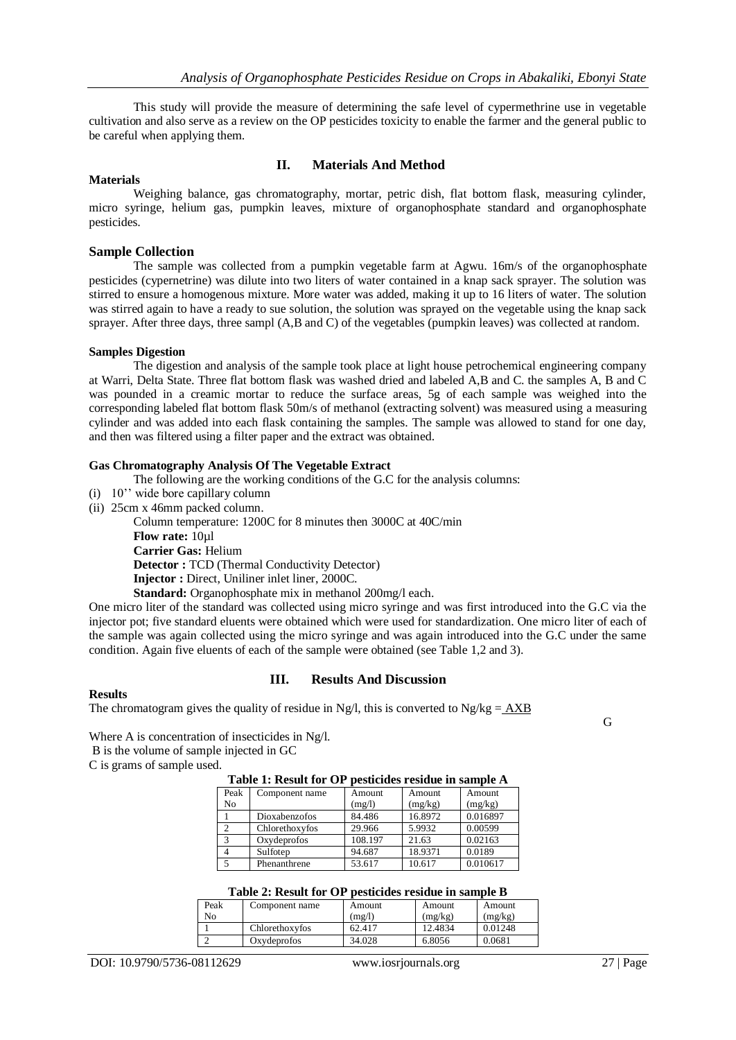This study will provide the measure of determining the safe level of cypermethrine use in vegetable cultivation and also serve as a review on the OP pesticides toxicity to enable the farmer and the general public to be careful when applying them.

#### **Materials**

# **II. Materials And Method**

Weighing balance, gas chromatography, mortar, petric dish, flat bottom flask, measuring cylinder, micro syringe, helium gas, pumpkin leaves, mixture of organophosphate standard and organophosphate pesticides.

#### **Sample Collection**

The sample was collected from a pumpkin vegetable farm at Agwu. 16m/s of the organophosphate pesticides (cypernetrine) was dilute into two liters of water contained in a knap sack sprayer. The solution was stirred to ensure a homogenous mixture. More water was added, making it up to 16 liters of water. The solution was stirred again to have a ready to sue solution, the solution was sprayed on the vegetable using the knap sack sprayer. After three days, three sampl (A,B and C) of the vegetables (pumpkin leaves) was collected at random.

## **Samples Digestion**

The digestion and analysis of the sample took place at light house petrochemical engineering company at Warri, Delta State. Three flat bottom flask was washed dried and labeled A,B and C. the samples A, B and C was pounded in a creamic mortar to reduce the surface areas, 5g of each sample was weighed into the corresponding labeled flat bottom flask 50m/s of methanol (extracting solvent) was measured using a measuring cylinder and was added into each flask containing the samples. The sample was allowed to stand for one day, and then was filtered using a filter paper and the extract was obtained.

## **Gas Chromatography Analysis Of The Vegetable Extract**

The following are the working conditions of the G.C for the analysis columns:

- (i) 10"" wide bore capillary column
- (ii) 25cm x 46mm packed column.

Column temperature: 1200C for 8 minutes then 3000C at 40C/min **Flow rate:** 10ul **Carrier Gas:** Helium **Detector :** TCD (Thermal Conductivity Detector) **Injector :** Direct, Uniliner inlet liner, 2000C. **Standard:** Organophosphate mix in methanol 200mg/l each.

One micro liter of the standard was collected using micro syringe and was first introduced into the G.C via the injector pot; five standard eluents were obtained which were used for standardization. One micro liter of each of the sample was again collected using the micro syringe and was again introduced into the G.C under the same condition. Again five eluents of each of the sample were obtained (see Table 1,2 and 3).

#### **Results**

# **III. Results And Discussion**

The chromatogram gives the quality of residue in Ng/l, this is converted to Ng/kg =  $\angle$ AXB

G

Where A is concentration of insecticides in Ng/l.

B is the volume of sample injected in GC

C is grams of sample used.

#### **Table 1: Result for OP pesticides residue in sample A**

| Peak          | Component name | Amount  | Amount  | Amount   |
|---------------|----------------|---------|---------|----------|
| No            |                | (mg/l)  | (mg/kg) | (mg/kg)  |
|               | Dioxabenzofos  | 84.486  | 16.8972 | 0.016897 |
| $\mathcal{L}$ | Chlorethoxyfos | 29.966  | 5.9932  | 0.00599  |
| 3             | Oxydeprofos    | 108.197 | 21.63   | 0.02163  |
|               | Sulfoten       | 94.687  | 18.9371 | 0.0189   |
|               | Phenanthrene   | 53.617  | 10.617  | 0.010617 |

| Table 2: Result for OP pesticides residue in sample B |  |  |  |
|-------------------------------------------------------|--|--|--|
|                                                       |  |  |  |

| Peak | Component name | Amount | Amount  | Amount  |
|------|----------------|--------|---------|---------|
| No   |                | (mg/l) | (mg/kg) | (mg/kg) |
|      | Chlorethoxyfos | 62.417 | 12.4834 | 0.01248 |
|      | Oxydeprofos    | 34.028 | 6.8056  | 0.0681  |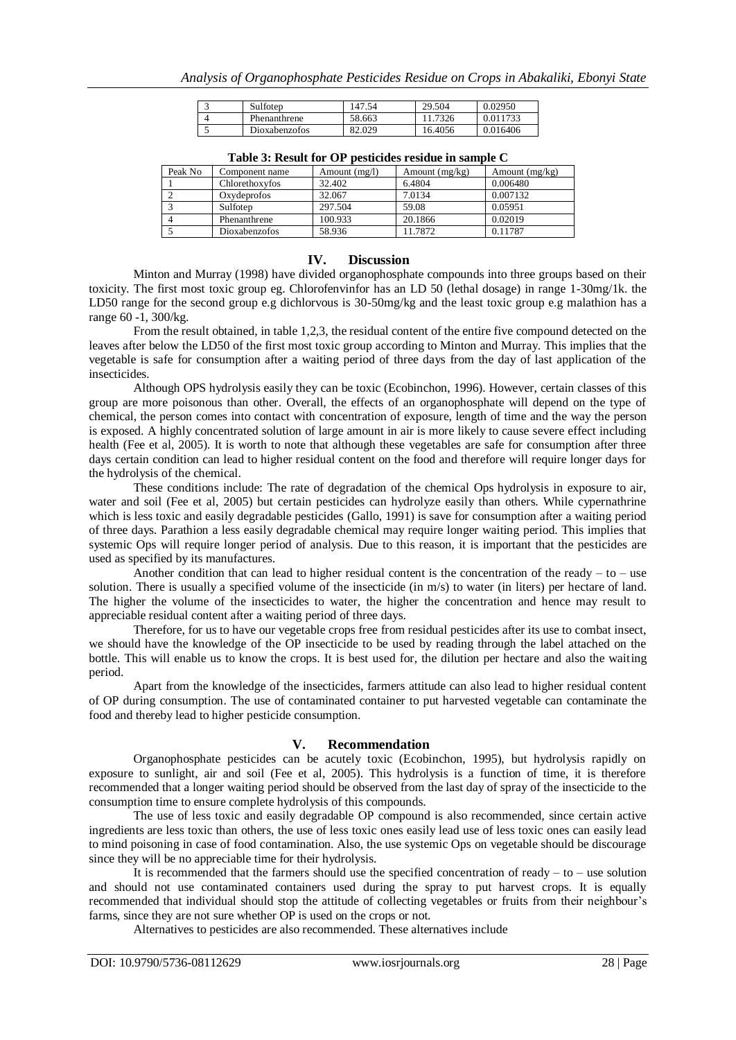| Sulfotep      | 47.54  | 29.504  | 0.02950  |
|---------------|--------|---------|----------|
| Phenanthrene  | 58.663 | 11.7326 | 0.011733 |
| Dioxabenzofos | 82.029 | 16.4056 | 0.016406 |

| Peak No | Component name | Amount $(mg/l)$ | Amount $(mg/kg)$ | Amount $(mg/kg)$ |
|---------|----------------|-----------------|------------------|------------------|
|         | Chlorethoxyfos | 32.402          | 6.4804           | 0.006480         |
|         | Oxydeprofos    | 32.067          | 7.0134           | 0.007132         |
|         | Sulfoten       | 297.504         | 59.08            | 0.05951          |
|         | Phenanthrene   | 100.933         | 20.1866          | 0.02019          |
|         | Dioxabenzofos  | 58.936          | 11.7872          | 0.11787          |

**Table 3: Result for OP pesticides residue in sample C**

## **IV. Discussion**

Minton and Murray (1998) have divided organophosphate compounds into three groups based on their toxicity. The first most toxic group eg. Chlorofenvinfor has an LD 50 (lethal dosage) in range 1-30mg/1k. the LD50 range for the second group e.g dichlorvous is 30-50mg/kg and the least toxic group e.g malathion has a range 60 -1, 300/kg.

From the result obtained, in table 1,2,3, the residual content of the entire five compound detected on the leaves after below the LD50 of the first most toxic group according to Minton and Murray. This implies that the vegetable is safe for consumption after a waiting period of three days from the day of last application of the insecticides.

Although OPS hydrolysis easily they can be toxic (Ecobinchon, 1996). However, certain classes of this group are more poisonous than other. Overall, the effects of an organophosphate will depend on the type of chemical, the person comes into contact with concentration of exposure, length of time and the way the person is exposed. A highly concentrated solution of large amount in air is more likely to cause severe effect including health (Fee et al, 2005). It is worth to note that although these vegetables are safe for consumption after three days certain condition can lead to higher residual content on the food and therefore will require longer days for the hydrolysis of the chemical.

These conditions include: The rate of degradation of the chemical Ops hydrolysis in exposure to air, water and soil (Fee et al, 2005) but certain pesticides can hydrolyze easily than others. While cypernathrine which is less toxic and easily degradable pesticides (Gallo, 1991) is save for consumption after a waiting period of three days. Parathion a less easily degradable chemical may require longer waiting period. This implies that systemic Ops will require longer period of analysis. Due to this reason, it is important that the pesticides are used as specified by its manufactures.

Another condition that can lead to higher residual content is the concentration of the ready – to – use solution. There is usually a specified volume of the insecticide (in m/s) to water (in liters) per hectare of land. The higher the volume of the insecticides to water, the higher the concentration and hence may result to appreciable residual content after a waiting period of three days.

Therefore, for us to have our vegetable crops free from residual pesticides after its use to combat insect, we should have the knowledge of the OP insecticide to be used by reading through the label attached on the bottle. This will enable us to know the crops. It is best used for, the dilution per hectare and also the waiting period.

Apart from the knowledge of the insecticides, farmers attitude can also lead to higher residual content of OP during consumption. The use of contaminated container to put harvested vegetable can contaminate the food and thereby lead to higher pesticide consumption.

# **V. Recommendation**

Organophosphate pesticides can be acutely toxic (Ecobinchon, 1995), but hydrolysis rapidly on exposure to sunlight, air and soil (Fee et al, 2005). This hydrolysis is a function of time, it is therefore recommended that a longer waiting period should be observed from the last day of spray of the insecticide to the consumption time to ensure complete hydrolysis of this compounds.

The use of less toxic and easily degradable OP compound is also recommended, since certain active ingredients are less toxic than others, the use of less toxic ones easily lead use of less toxic ones can easily lead to mind poisoning in case of food contamination. Also, the use systemic Ops on vegetable should be discourage since they will be no appreciable time for their hydrolysis.

It is recommended that the farmers should use the specified concentration of ready  $-$  to  $-$  use solution and should not use contaminated containers used during the spray to put harvest crops. It is equally recommended that individual should stop the attitude of collecting vegetables or fruits from their neighbour"s farms, since they are not sure whether OP is used on the crops or not.

Alternatives to pesticides are also recommended. These alternatives include